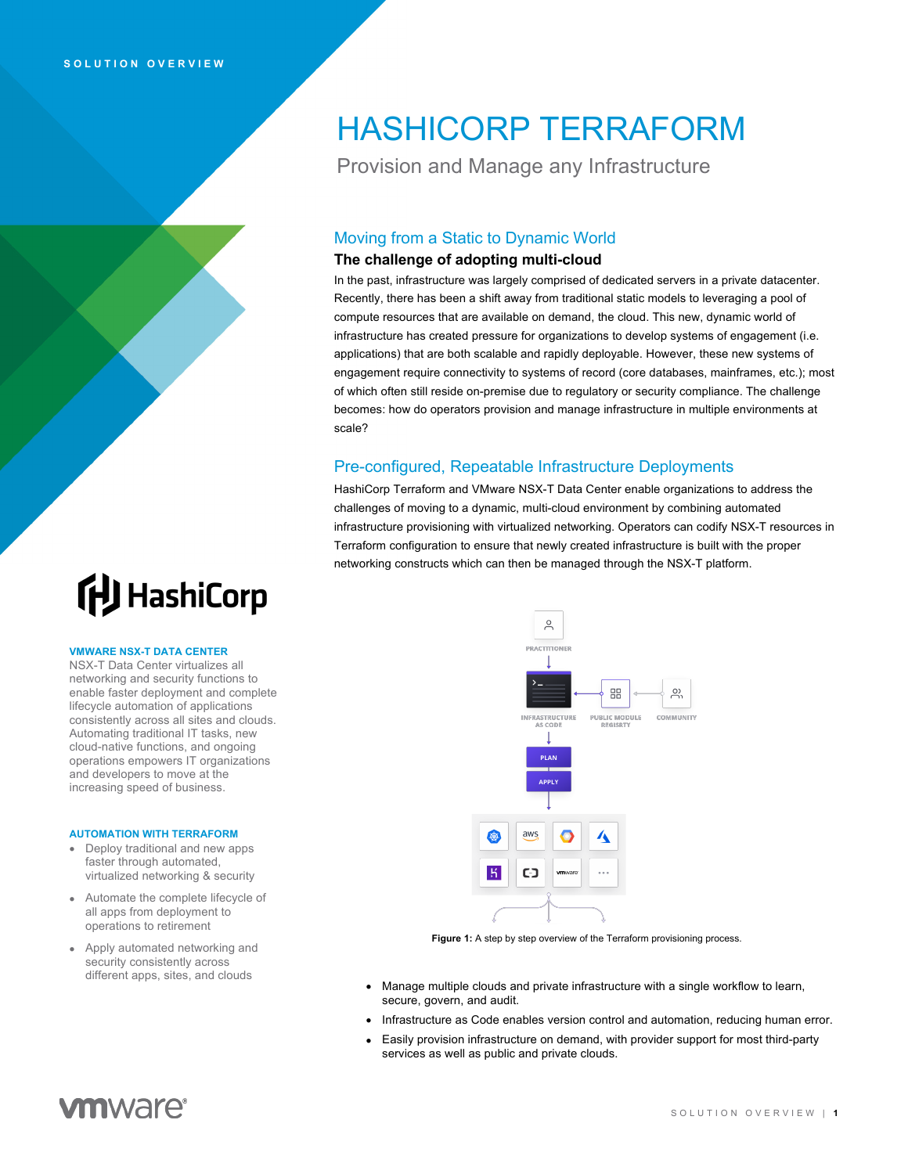## HASHICORP TERRAFORM

Provision and Manage any Infrastructure

### Moving from a Static to Dynamic World

### **The challenge of adopting multi-cloud**

In the past, infrastructure was largely comprised of dedicated servers in a private datacenter. Recently, there has been a shift away from traditional static models to leveraging a pool of compute resources that are available on demand, the cloud. This new, dynamic world of infrastructure has created pressure for organizations to develop systems of engagement (i.e. applications) that are both scalable and rapidly deployable. However, these new systems of engagement require connectivity to systems of record (core databases, mainframes, etc.); most of which often still reside on-premise due to regulatory or security compliance. The challenge becomes: how do operators provision and manage infrastructure in multiple environments at scale?

### Pre-configured, Repeatable Infrastructure Deployments

HashiCorp Terraform and VMware NSX-T Data Center enable organizations to address the challenges of moving to a dynamic, multi-cloud environment by combining automated infrastructure provisioning with virtualized networking. Operators can codify NSX-T resources in Terraform configuration to ensure that newly created infrastructure is built with the proper networking constructs which can then be managed through the NSX-T platform.

# **ftJ** HashiCorp

### **VMWARE NSX-T DATA CENTER**

NSX-T Data Center virtualizes all networking and security functions to enable faster deployment and complete lifecycle automation of applications consistently across all sites and clouds. Automating traditional IT tasks, new cloud-native functions, and ongoing operations empowers IT organizations and developers to move at the increasing speed of business.

### **AUTOMATION WITH TERRAFORM**

- Deploy traditional and new apps faster through automated, virtualized networking & security
- Automate the complete lifecycle of all apps from deployment to operations to retirement
- Apply automated networking and security consistently across different apps, sites, and clouds



Figure 1: A step by step overview of the Terraform provisioning process.

- Manage multiple clouds and private infrastructure with a single workflow to learn, secure, govern, and audit.
- Infrastructure as Code enables version control and automation, reducing human error.
- Easily provision infrastructure on demand, with provider support for most third-party services as well as public and private clouds.

### **vm**ware<sup>®</sup>